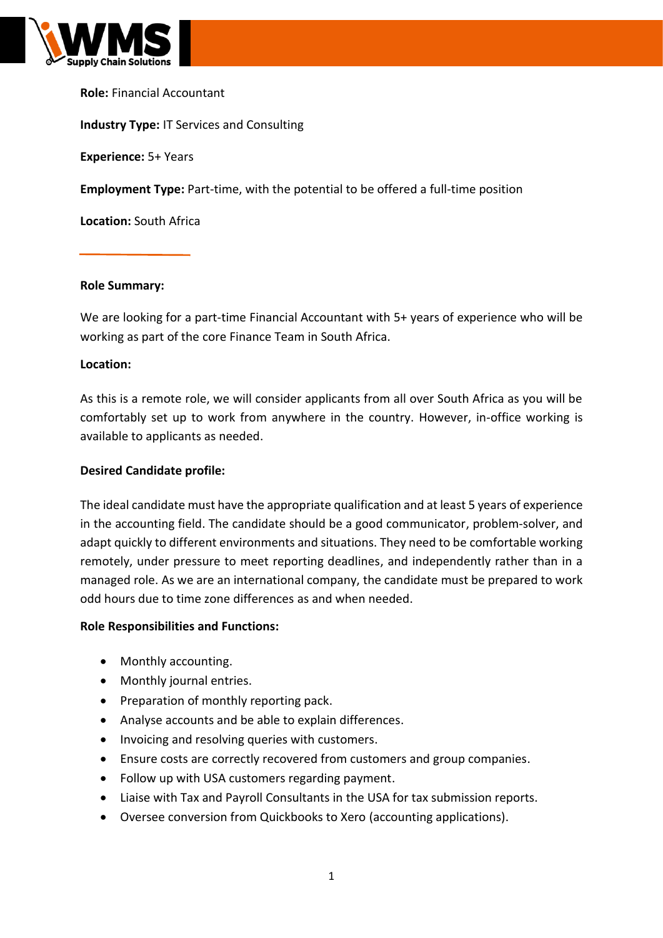

### **Role:** Financial Accountant

### **Industry Type:** IT Services and Consulting

**Experience:** 5+ Years

**Employment Type:** Part-time, with the potential to be offered a full-time position

**Location:** South Africa

#### **Role Summary:**

We are looking for a part-time Financial Accountant with 5+ years of experience who will be working as part of the core Finance Team in South Africa.

### **Location:**

As this is a remote role, we will consider applicants from all over South Africa as you will be comfortably set up to work from anywhere in the country. However, in-office working is available to applicants as needed.

### **Desired Candidate profile:**

The ideal candidate must have the appropriate qualification and at least 5 years of experience in the accounting field. The candidate should be a good communicator, problem-solver, and adapt quickly to different environments and situations. They need to be comfortable working remotely, under pressure to meet reporting deadlines, and independently rather than in a managed role. As we are an international company, the candidate must be prepared to work odd hours due to time zone differences as and when needed.

### **Role Responsibilities and Functions:**

- Monthly accounting.
- Monthly journal entries.
- Preparation of monthly reporting pack.
- Analyse accounts and be able to explain differences.
- Invoicing and resolving queries with customers.
- Ensure costs are correctly recovered from customers and group companies.
- Follow up with USA customers regarding payment.
- Liaise with Tax and Payroll Consultants in the USA for tax submission reports.
- Oversee conversion from Quickbooks to Xero (accounting applications).